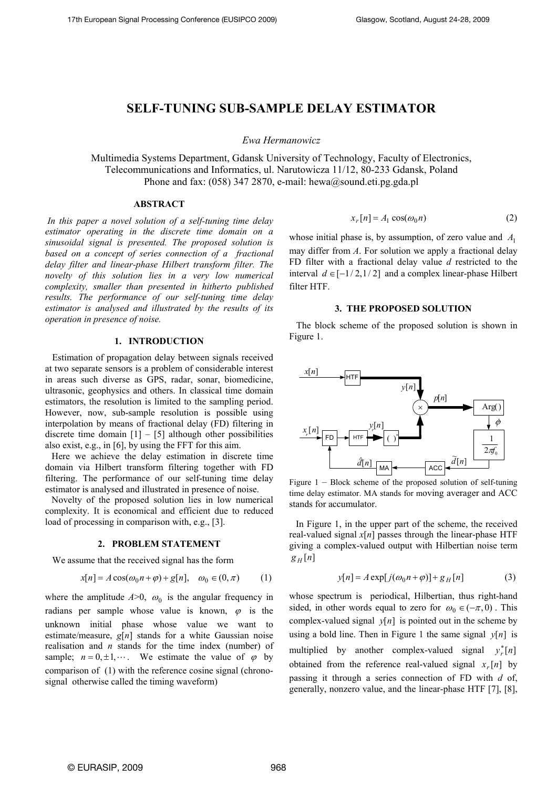# **SELF-TUNING SUB-SAMPLE DELAY ESTIMATOR**

*Ewa Hermanowicz*

Multimedia Systems Department, Gdansk University of Technology, Faculty of Electronics, Telecommunications and Informatics, ul. Narutowicza 11/12, 80-233 Gdansk, Poland Phone and fax: (058) 347 2870, e-mail: hewa@sound.eti.pg.gda.pl

# **ABSTRACT**

*In this paper a novel solution of a self-tuning time delay estimator operating in the discrete time domain on a sinusoidal signal is presented. The proposed solution is based on a concept of series connection of a fractional delay filter and linear-phase Hilbert transform filter. The novelty of this solution lies in a very low numerical complexity, smaller than presented in hitherto published results. The performance of our self-tuning time delay estimator is analysed and illustrated by the results of its operation in presence of noise.* 

#### **1. INTRODUCTION**

 Estimation of propagation delay between signals received at two separate sensors is a problem of considerable interest in areas such diverse as GPS, radar, sonar, biomedicine, ultrasonic, geophysics and others. In classical time domain estimators, the resolution is limited to the sampling period. However, now, sub-sample resolution is possible using interpolation by means of fractional delay (FD) filtering in discrete time domain  $[1] - [5]$  although other possibilities also exist, e.g., in [6], by using the FFT for this aim.

Here we achieve the delay estimation in discrete time domain via Hilbert transform filtering together with FD filtering. The performance of our self-tuning time delay estimator is analysed and illustrated in presence of noise.

Novelty of the proposed solution lies in low numerical complexity. It is economical and efficient due to reduced load of processing in comparison with, e.g., [3].

#### **2. PROBLEM STATEMENT**

We assume that the received signal has the form

$$
x[n] = A\cos(\omega_0 n + \varphi) + g[n], \quad \omega_0 \in (0, \pi) \tag{1}
$$

where the amplitude  $A>0$ ,  $\omega_0$  is the angular frequency in radians per sample whose value is known,  $\varphi$  is the unknown initial phase whose value we want to estimate/measure, *g*[*n*] stands for a white Gaussian noise realisation and *n* stands for the time index (number) of sample;  $n = 0, \pm 1, \dots$ . We estimate the value of  $\varphi$  by comparison of (1) with the reference cosine signal (chronosignal otherwise called the timing waveform)

$$
x_r[n] = A_1 \cos(\omega_0 n) \tag{2}
$$

whose initial phase is, by assumption, of zero value and *A*1 may differ from *A*. For solution we apply a fractional delay FD filter with a fractional delay value *d* restricted to the interval  $d \in [-1/2, 1/2]$  and a complex linear-phase Hilbert filter HTF.

#### **3. THE PROPOSED SOLUTION**

The block scheme of the proposed solution is shown in Figure 1.



Figure 1 – Block scheme of the proposed solution of self-tuning time delay estimator. MA stands for moving averager and ACC stands for accumulator.

In Figure 1, in the upper part of the scheme, the received real-valued signal *x*[*n*] passes through the linear-phase HTF giving a complex-valued output with Hilbertian noise term  $g_H[n]$ 

$$
y[n] = A \exp[j(\omega_0 n + \varphi)] + g_H[n] \tag{3}
$$

whose spectrum is periodical, Hilbertian, thus right-hand sided, in other words equal to zero for  $\omega_0 \in (-\pi, 0)$ . This using a bold line. Then in Figure 1 the same signal  $y[n]$  is obtained from the reference real-valued signal  $x_r[n]$  by complex-valued signal  $y[n]$  is pointed out in the scheme by multiplied by another complex-valued signal  $y_r^*[n]$ passing it through a series connection of FD with *d* of, generally, nonzero value, and the linear-phase HTF [7], [8],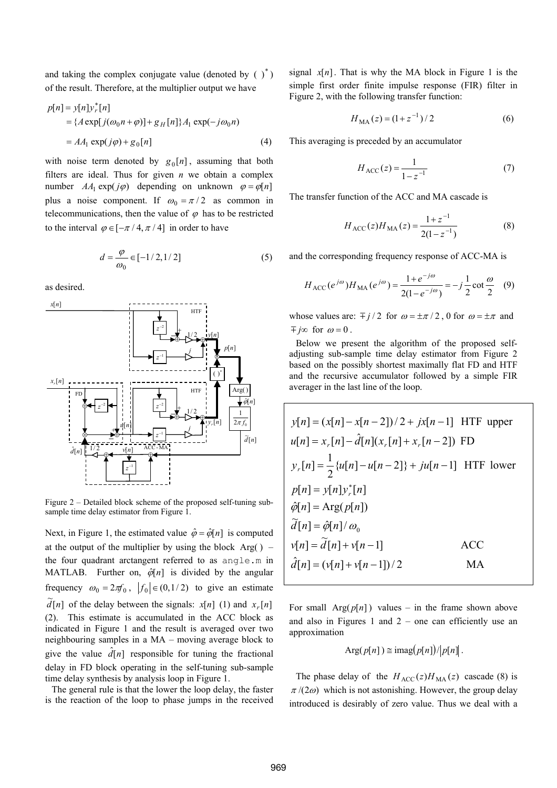and taking the complex conjugate value (denoted by  $(\ )^*$ ) of the result. Therefore, at the multiplier output we have

$$
p[n] = y[n]y_r^*[n]
$$
  
= { $A \exp[j(\omega_0 n + \varphi)] + g_H[n]\}A_1 \exp(-j\omega_0 n)$   
=  $AA_1 \exp(j\varphi) + g_0[n]$  (4)

number  $AA_1 \exp(j\varphi)$  depending on unknown  $\varphi = \varphi[n]$ with noise term denoted by  $g_0[n]$ , assuming that both filters are ideal. Thus for given *n* we obtain a complex plus a noise component. If  $\omega_0 = \pi/2$  as common in telecommunications, then the value of  $\varphi$  has to be restricted to the interval  $\varphi \in [-\pi/4, \pi/4]$  in order to have

$$
d = \frac{\varphi}{\omega_0} \in [-1/2, 1/2] \tag{5}
$$

as desired.



Figure 2 – Detailed block scheme of the proposed self-tuning subsample time delay estimator from Figure 1.

at the output of the multiplier by using the block  $Arg()$  –  $\widetilde{d}[n]$  of the delay between the signals:  $x[n]$  (1) and  $x_r[n]$ Next, in Figure 1, the estimated value  $\hat{\varphi} = \hat{\varphi}[n]$  is computed the four quadrant arctangent referred to as angle.m in MATLAB. Further on,  $\hat{\varphi}[n]$  is divided by the angular frequency  $\omega_0 = 2\pi f_0$ ,  $|f_0| \in (0, 1/2)$  to give an estimate (2). This estimate is accumulated in the ACC block as indicated in Figure 1 and the result is averaged over two neighbouring samples in a MA – moving average block to give the value  $\hat{d}[n]$  responsible for tuning the fractional delay in FD block operating in the self-tuning sub-sample time delay synthesis by analysis loop in Figure 1.

The general rule is that the lower the loop delay, the faster is the reaction of the loop to phase jumps in the received

signal  $x[n]$ . That is why the MA block in Figure 1 is the simple first order finite impulse response (FIR) filter in Figure 2, with the following transfer function:

$$
H_{\text{MA}}(z) = (1 + z^{-1})/2 \tag{6}
$$

This averaging is preceded by an accumulator

$$
H_{\text{ACC}}(z) = \frac{1}{1 - z^{-1}}\tag{7}
$$

The transfer function of the ACC and MA cascade is

$$
H_{\text{ACC}}(z)H_{\text{MA}}(z) = \frac{1+z^{-1}}{2(1-z^{-1})}
$$
 (8)

and the corresponding frequency response of ACC-MA is

$$
H_{\text{ACC}}(e^{j\omega})H_{\text{MA}}(e^{j\omega}) = \frac{1+e^{-j\omega}}{2(1-e^{-j\omega})} = -j\frac{1}{2}\cot\frac{\omega}{2} \quad (9)
$$

whose values are:  $\frac{m}{2}$  *j* / 2 for  $\omega = \pm \frac{\pi}{2}$ , 0 for  $\omega = \pm \pi$  and  $\mp j\infty$  for  $\omega = 0$ .

Below we present the algorithm of the proposed selfadjusting sub-sample time delay estimator from Figure 2 based on the possibly shortest maximally flat FD and HTF and the recursive accumulator followed by a simple FIR averager in the last line of the loop.

$$
y[n] = (x[n] - x[n-2])/2 + jx[n-1]
$$
 HTF upper  
\n
$$
u[n] = x_r[n] - \hat{d}[n](x_r[n] + x_r[n-2])
$$
 FD  
\n
$$
y_r[n] = \frac{1}{2} \{u[n] - u[n-2]\} + ju[n-1]
$$
 HTF lower  
\n
$$
p[n] = y[n]y_r[n]
$$
  
\n
$$
\hat{\varphi}[n] = \text{Arg}(p[n])
$$
  
\n
$$
\tilde{d}[n] = \hat{\varphi}[n] / \omega_0
$$
  
\n
$$
v[n] = \tilde{d}[n] + v[n-1]
$$
 ACC  
\n
$$
\hat{d}[n] = (v[n] + v[n-1])/2
$$
 MA

For small  $Arg(p[n])$  values – in the frame shown above and also in Figures 1 and  $2$  – one can efficiently use an approximation

Arg
$$
(p[n]) \cong
$$
imag $(p[n])/|p[n]$ .

The phase delay of the  $H_{\text{ACC}}(z)H_{\text{MA}}(z)$  cascade (8) is  $\pi/(2\omega)$  which is not astonishing. However, the group delay introduced is desirably of zero value. Thus we deal with a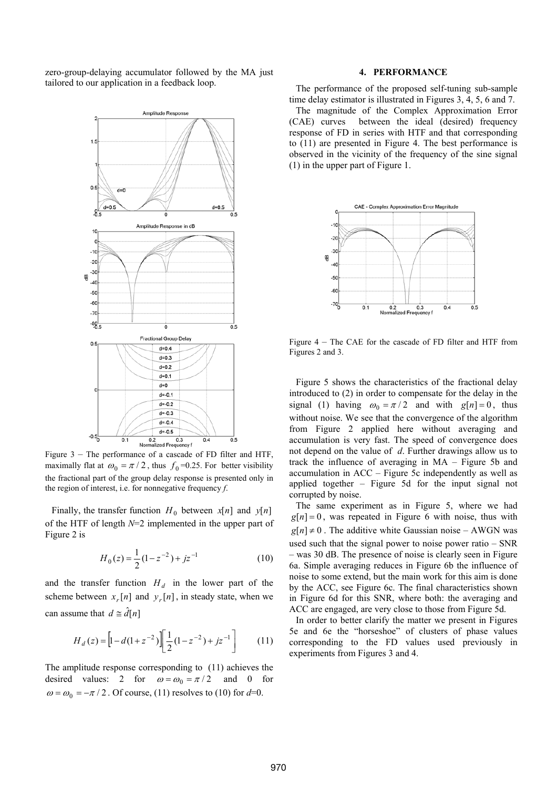zero-group-delaying accumulator followed by the MA just tailored to our application in a feedback loop.



Figure 3 – The performance of a cascade of FD filter and HTF, maximally flat at  $\omega_0 = \pi / 2$ , thus  $f_0 = 0.25$ . For better visibility the fractional part of the group delay response is presented only in the region of interest, i.e. for nonnegative frequency *f*.

Finally, the transfer function  $H_0$  between  $x[n]$  and  $y[n]$ of the HTF of length *N*=2 implemented in the upper part of Figure 2 is

$$
H_0(z) = \frac{1}{2} (1 - z^{-2}) + jz^{-1}
$$
 (10)

and the transfer function  $H_d$  in the lower part of the scheme between  $x_r[n]$  and  $y_r[n]$ , in steady state, when we can assume that  $d \geq \hat{d}[n]$ 

$$
H_d(z) = \left[1 - d(1 + z^{-2})\right] \left[\frac{1}{2}(1 - z^{-2}) + jz^{-1}\right] \tag{11}
$$

The amplitude response corresponding to (11) achieves the desired values: 2 for  $\omega = \omega_0 = \pi/2$  and 0 for  $\omega = \omega_0 = -\pi/2$ . Of course, (11) resolves to (10) for  $d=0$ .

# **4. PERFORMANCE**

The performance of the proposed self-tuning sub-sample time delay estimator is illustrated in Figures 3, 4, 5, 6 and 7.

The magnitude of the Complex Approximation Error (CAE) curves between the ideal (desired) frequency response of FD in series with HTF and that corresponding to (11) are presented in Figure 4. The best performance is observed in the vicinity of the frequency of the sine signal (1) in the upper part of Figure 1.



Figure 4 – The CAE for the cascade of FD filter and HTF from Figures 2 and 3.

Figure 5 shows the characteristics of the fractional delay introduced to (2) in order to compensate for the delay in the signal (1) having  $\omega_0 = \pi/2$  and with  $g[n] = 0$ , thus without noise. We see that the convergence of the algorithm from Figure 2 applied here without averaging and accumulation is very fast. The speed of convergence does not depend on the value of *d*. Further drawings allow us to track the influence of averaging in MA – Figure 5b and accumulation in ACC – Figure 5c independently as well as applied together – Figure 5d for the input signal not corrupted by noise.

The same experiment as in Figure 5, where we had  $g[n] = 0$ , was repeated in Figure 6 with noise, thus with  $g[n] \neq 0$ . The additive white Gaussian noise – AWGN was used such that the signal power to noise power ratio – SNR – was 30 dB. The presence of noise is clearly seen in Figure 6a. Simple averaging reduces in Figure 6b the influence of noise to some extend, but the main work for this aim is done by the ACC, see Figure 6c. The final characteristics shown in Figure 6d for this SNR, where both: the averaging and ACC are engaged, are very close to those from Figure 5d.

In order to better clarify the matter we present in Figures 5e and 6e the "horseshoe" of clusters of phase values corresponding to the FD values used previously in experiments from Figures 3 and 4.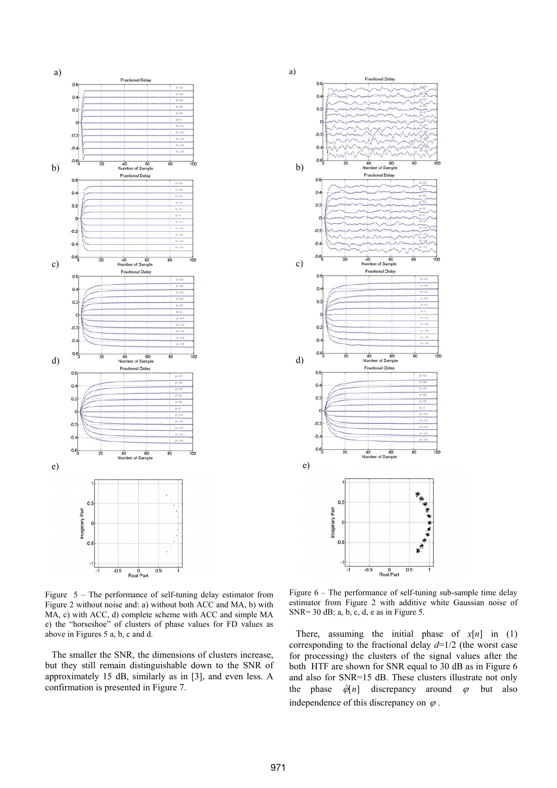

Figure 5 – The performance of self-tuning delay estimator from Figure 2 without noise and: a) without both ACC and MA, b) with MA, c) with ACC, d) complete scheme with ACC and simple MA e) the "horseshoe" of clusters of phase values for FD values as above in Figures 5 a, b, c and d.

The smaller the SNR, the dimensions of clusters increase, but they still remain distinguishable down to the SNR of approximately 15 dB, similarly as in [3], and even less. A confirmation is presented in Figure 7.



Figure 6 – The performance of self-tuning sub-sample time delay estimator from Figure 2 with additive white Gaussian noise of SNR= 30 dB; a, b, c, d, e as in Figure 5.

There, assuming the initial phase of  $x[n]$  in (1) corresponding to the fractional delay *d*=1/2 (the worst case for processing) the clusters of the signal values after the both HTF are shown for SNR equal to 30 dB as in Figure 6 and also for SNR=15 dB. These clusters illustrate not only the phase  $\hat{\varphi}[n]$  discrepancy around  $\varphi$  but also independence of this discrepancy on  $\varphi$ .